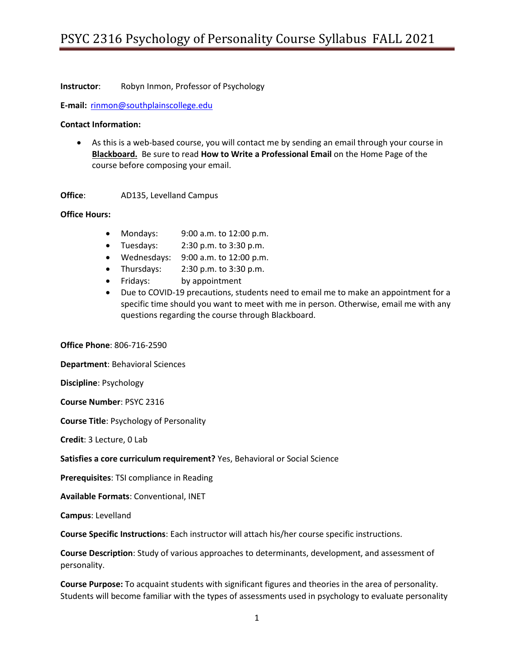**Instructor**: Robyn Inmon, Professor of Psychology

**E-mail:** [rinmon@southplainscollege.edu](mailto:rinmon@southplainscollege.edu)

#### **Contact Information:**

• As this is a web-based course, you will contact me by sending an email through your course in **Blackboard.** Be sure to read **How to Write a Professional Email** on the Home Page of the course before composing your email.

**Office**: AD135, Levelland Campus

#### **Office Hours:**

- Mondays: 9:00 a.m. to 12:00 p.m.
- Tuesdays:  $2:30 \text{ p.m.}$  to  $3:30 \text{ p.m.}$
- Wednesdays: 9:00 a.m. to 12:00 p.m.
- Thursdays:  $2:30 \text{ p.m.}$  to  $3:30 \text{ p.m.}$
- Fridays: by appointment
- Due to COVID-19 precautions, students need to email me to make an appointment for a specific time should you want to meet with me in person. Otherwise, email me with any questions regarding the course through Blackboard.

**Office Phone**: 806-716-2590

**Department**: Behavioral Sciences

**Discipline**: Psychology

**Course Number**: PSYC 2316

**Course Title**: Psychology of Personality

**Credit**: 3 Lecture, 0 Lab

**Satisfies a core curriculum requirement?** Yes, Behavioral or Social Science

**Prerequisites**: TSI compliance in Reading

**Available Formats**: Conventional, INET

**Campus**: Levelland

**Course Specific Instructions**: Each instructor will attach his/her course specific instructions.

**Course Description**: Study of various approaches to determinants, development, and assessment of personality.

**Course Purpose:** To acquaint students with significant figures and theories in the area of personality. Students will become familiar with the types of assessments used in psychology to evaluate personality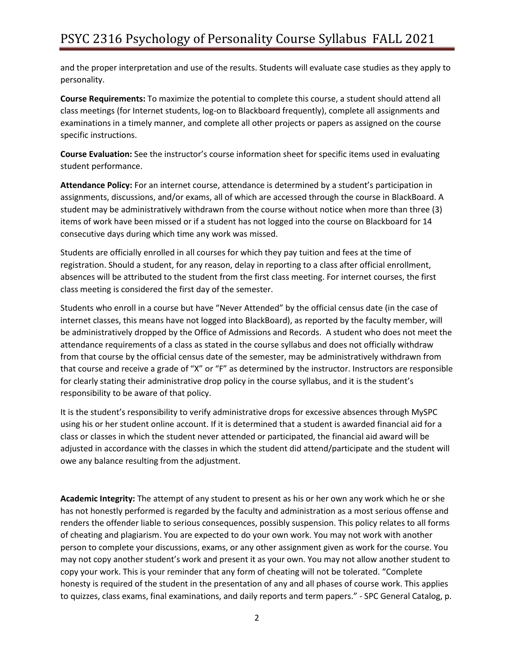and the proper interpretation and use of the results. Students will evaluate case studies as they apply to personality.

**Course Requirements:** To maximize the potential to complete this course, a student should attend all class meetings (for Internet students, log-on to Blackboard frequently), complete all assignments and examinations in a timely manner, and complete all other projects or papers as assigned on the course specific instructions.

**Course Evaluation:** See the instructor's course information sheet for specific items used in evaluating student performance.

**Attendance Policy:** For an internet course, attendance is determined by a student's participation in assignments, discussions, and/or exams, all of which are accessed through the course in BlackBoard. A student may be administratively withdrawn from the course without notice when more than three (3) items of work have been missed or if a student has not logged into the course on Blackboard for 14 consecutive days during which time any work was missed.

Students are officially enrolled in all courses for which they pay tuition and fees at the time of registration. Should a student, for any reason, delay in reporting to a class after official enrollment, absences will be attributed to the student from the first class meeting. For internet courses, the first class meeting is considered the first day of the semester.

Students who enroll in a course but have "Never Attended" by the official census date (in the case of internet classes, this means have not logged into BlackBoard), as reported by the faculty member, will be administratively dropped by the Office of Admissions and Records. A student who does not meet the attendance requirements of a class as stated in the course syllabus and does not officially withdraw from that course by the official census date of the semester, may be administratively withdrawn from that course and receive a grade of "X" or "F" as determined by the instructor. Instructors are responsible for clearly stating their administrative drop policy in the course syllabus, and it is the student's responsibility to be aware of that policy.

It is the student's responsibility to verify administrative drops for excessive absences through MySPC using his or her student online account. If it is determined that a student is awarded financial aid for a class or classes in which the student never attended or participated, the financial aid award will be adjusted in accordance with the classes in which the student did attend/participate and the student will owe any balance resulting from the adjustment.

**Academic Integrity:** The attempt of any student to present as his or her own any work which he or she has not honestly performed is regarded by the faculty and administration as a most serious offense and renders the offender liable to serious consequences, possibly suspension. This policy relates to all forms of cheating and plagiarism. You are expected to do your own work. You may not work with another person to complete your discussions, exams, or any other assignment given as work for the course. You may not copy another student's work and present it as your own. You may not allow another student to copy your work. This is your reminder that any form of cheating will not be tolerated. "Complete honesty is required of the student in the presentation of any and all phases of course work. This applies to quizzes, class exams, final examinations, and daily reports and term papers." - SPC General Catalog, p.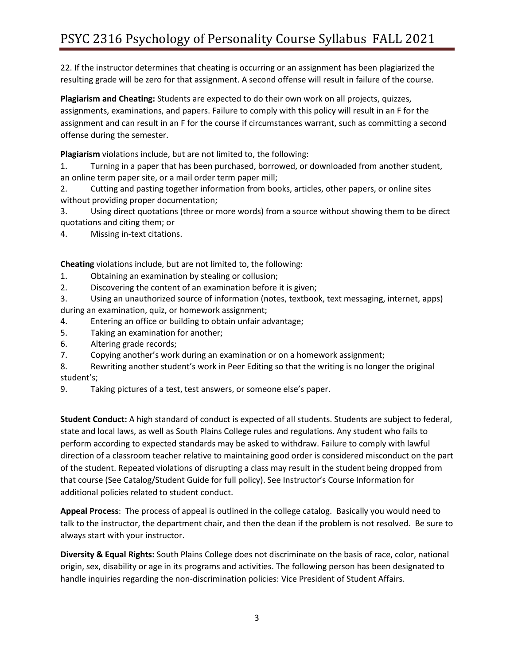22. If the instructor determines that cheating is occurring or an assignment has been plagiarized the resulting grade will be zero for that assignment. A second offense will result in failure of the course.

**Plagiarism and Cheating:** Students are expected to do their own work on all projects, quizzes, assignments, examinations, and papers. Failure to comply with this policy will result in an F for the assignment and can result in an F for the course if circumstances warrant, such as committing a second offense during the semester.

**Plagiarism** violations include, but are not limited to, the following:

1. Turning in a paper that has been purchased, borrowed, or downloaded from another student, an online term paper site, or a mail order term paper mill;

2. Cutting and pasting together information from books, articles, other papers, or online sites without providing proper documentation;

3. Using direct quotations (three or more words) from a source without showing them to be direct quotations and citing them; or

4. Missing in-text citations.

**Cheating** violations include, but are not limited to, the following:

- 1. Obtaining an examination by stealing or collusion;
- 2. Discovering the content of an examination before it is given;

3. Using an unauthorized source of information (notes, textbook, text messaging, internet, apps) during an examination, quiz, or homework assignment;

- 4. Entering an office or building to obtain unfair advantage;
- 5. Taking an examination for another;
- 6. Altering grade records;
- 7. Copying another's work during an examination or on a homework assignment;
- 8. Rewriting another student's work in Peer Editing so that the writing is no longer the original student's;
- 9. Taking pictures of a test, test answers, or someone else's paper.

**Student Conduct:** A high standard of conduct is expected of all students. Students are subject to federal, state and local laws, as well as South Plains College rules and regulations. Any student who fails to perform according to expected standards may be asked to withdraw. Failure to comply with lawful direction of a classroom teacher relative to maintaining good order is considered misconduct on the part of the student. Repeated violations of disrupting a class may result in the student being dropped from that course (See Catalog/Student Guide for full policy). See Instructor's Course Information for additional policies related to student conduct.

**Appeal Process**: The process of appeal is outlined in the college catalog. Basically you would need to talk to the instructor, the department chair, and then the dean if the problem is not resolved. Be sure to always start with your instructor.

**Diversity & Equal Rights:** South Plains College does not discriminate on the basis of race, color, national origin, sex, disability or age in its programs and activities. The following person has been designated to handle inquiries regarding the non-discrimination policies: Vice President of Student Affairs.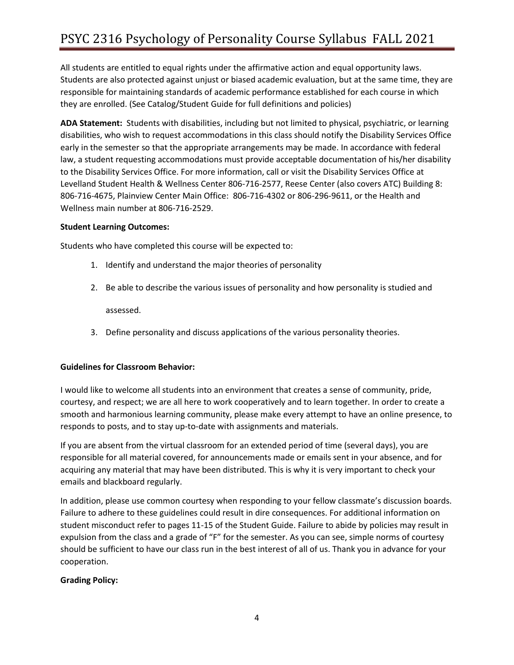All students are entitled to equal rights under the affirmative action and equal opportunity laws. Students are also protected against unjust or biased academic evaluation, but at the same time, they are responsible for maintaining standards of academic performance established for each course in which they are enrolled. (See Catalog/Student Guide for full definitions and policies)

**ADA Statement:** Students with disabilities, including but not limited to physical, psychiatric, or learning disabilities, who wish to request accommodations in this class should notify the Disability Services Office early in the semester so that the appropriate arrangements may be made. In accordance with federal law, a student requesting accommodations must provide acceptable documentation of his/her disability to the Disability Services Office. For more information, call or visit the Disability Services Office at Levelland Student Health & Wellness Center 806-716-2577, Reese Center (also covers ATC) Building 8: 806-716-4675, Plainview Center Main Office: 806-716-4302 or 806-296-9611, or the Health and Wellness main number at 806-716-2529.

### **Student Learning Outcomes:**

Students who have completed this course will be expected to:

- 1. Identify and understand the major theories of personality
- 2. Be able to describe the various issues of personality and how personality is studied and

assessed.

3. Define personality and discuss applications of the various personality theories.

## **Guidelines for Classroom Behavior:**

I would like to welcome all students into an environment that creates a sense of community, pride, courtesy, and respect; we are all here to work cooperatively and to learn together. In order to create a smooth and harmonious learning community, please make every attempt to have an online presence, to responds to posts, and to stay up-to-date with assignments and materials.

If you are absent from the virtual classroom for an extended period of time (several days), you are responsible for all material covered, for announcements made or emails sent in your absence, and for acquiring any material that may have been distributed. This is why it is very important to check your emails and blackboard regularly.

In addition, please use common courtesy when responding to your fellow classmate's discussion boards. Failure to adhere to these guidelines could result in dire consequences. For additional information on student misconduct refer to pages 11-15 of the Student Guide. Failure to abide by policies may result in expulsion from the class and a grade of "F" for the semester. As you can see, simple norms of courtesy should be sufficient to have our class run in the best interest of all of us. Thank you in advance for your cooperation.

## **Grading Policy:**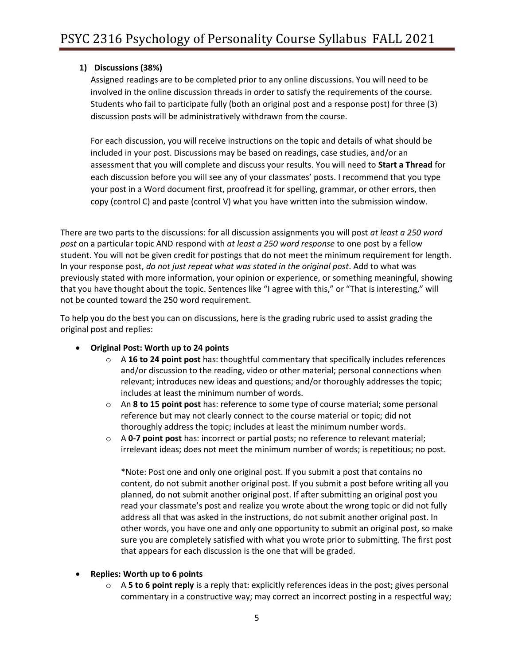# **1) Discussions (38%)**

Assigned readings are to be completed prior to any online discussions. You will need to be involved in the online discussion threads in order to satisfy the requirements of the course. Students who fail to participate fully (both an original post and a response post) for three (3) discussion posts will be administratively withdrawn from the course.

For each discussion, you will receive instructions on the topic and details of what should be included in your post. Discussions may be based on readings, case studies, and/or an assessment that you will complete and discuss your results. You will need to **Start a Thread** for each discussion before you will see any of your classmates' posts. I recommend that you type your post in a Word document first, proofread it for spelling, grammar, or other errors, then copy (control C) and paste (control V) what you have written into the submission window.

There are two parts to the discussions: for all discussion assignments you will post *at least a 250 word post* on a particular topic AND respond with *at least a 250 word response* to one post by a fellow student. You will not be given credit for postings that do not meet the minimum requirement for length. In your response post, *do not just repeat what was stated in the original post*. Add to what was previously stated with more information, your opinion or experience, or something meaningful, showing that you have thought about the topic. Sentences like "I agree with this," or "That is interesting," will not be counted toward the 250 word requirement.

To help you do the best you can on discussions, here is the grading rubric used to assist grading the original post and replies:

## • **Original Post: Worth up to 24 points**

- o A **16 to 24 point post** has: thoughtful commentary that specifically includes references and/or discussion to the reading, video or other material; personal connections when relevant; introduces new ideas and questions; and/or thoroughly addresses the topic; includes at least the minimum number of words.
- o An **8 to 15 point post** has: reference to some type of course material; some personal reference but may not clearly connect to the course material or topic; did not thoroughly address the topic; includes at least the minimum number words.
- o A **0-7 point post** has: incorrect or partial posts; no reference to relevant material; irrelevant ideas; does not meet the minimum number of words; is repetitious; no post.

\*Note: Post one and only one original post. If you submit a post that contains no content, do not submit another original post. If you submit a post before writing all you planned, do not submit another original post. If after submitting an original post you read your classmate's post and realize you wrote about the wrong topic or did not fully address all that was asked in the instructions, do not submit another original post. In other words, you have one and only one opportunity to submit an original post, so make sure you are completely satisfied with what you wrote prior to submitting. The first post that appears for each discussion is the one that will be graded.

### • **Replies: Worth up to 6 points**

o A **5 to 6 point reply** is a reply that: explicitly references ideas in the post; gives personal commentary in a constructive way; may correct an incorrect posting in a respectful way;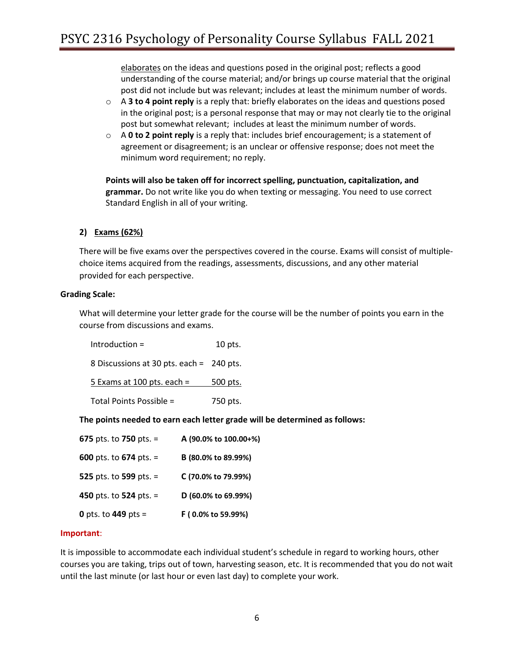elaborates on the ideas and questions posed in the original post; reflects a good understanding of the course material; and/or brings up course material that the original post did not include but was relevant; includes at least the minimum number of words.

- o A **3 to 4 point reply** is a reply that: briefly elaborates on the ideas and questions posed in the original post; is a personal response that may or may not clearly tie to the original post but somewhat relevant; includes at least the minimum number of words.
- o A **0 to 2 point reply** is a reply that: includes brief encouragement; is a statement of agreement or disagreement; is an unclear or offensive response; does not meet the minimum word requirement; no reply.

**Points will also be taken off for incorrect spelling, punctuation, capitalization, and grammar.** Do not write like you do when texting or messaging. You need to use correct Standard English in all of your writing.

## **2) Exams (62%)**

There will be five exams over the perspectives covered in the course. Exams will consist of multiplechoice items acquired from the readings, assessments, discussions, and any other material provided for each perspective.

#### **Grading Scale:**

What will determine your letter grade for the course will be the number of points you earn in the course from discussions and exams.

| $Introduction =$                         | 10 pts.  |
|------------------------------------------|----------|
| 8 Discussions at 30 pts. each = 240 pts. |          |
| 5 Exams at 100 pts. each $=$             | 500 pts. |
| Total Points Possible =                  | 750 pts. |

### **The points needed to earn each letter grade will be determined as follows:**

| 675 pts. to 750 pts. $=$ | A (90.0% to 100.00+%) |
|--------------------------|-----------------------|
| 600 pts. to $674$ pts. = | B (80.0% to 89.99%)   |
| 525 pts. to 599 pts. $=$ | C (70.0% to 79.99%)   |
| 450 pts. to 524 pts. $=$ | D (60.0% to 69.99%)   |
| 0 pts. to $449$ pts =    | F (0.0% to 59.99%)    |

#### **Important**:

It is impossible to accommodate each individual student's schedule in regard to working hours, other courses you are taking, trips out of town, harvesting season, etc. It is recommended that you do not wait until the last minute (or last hour or even last day) to complete your work.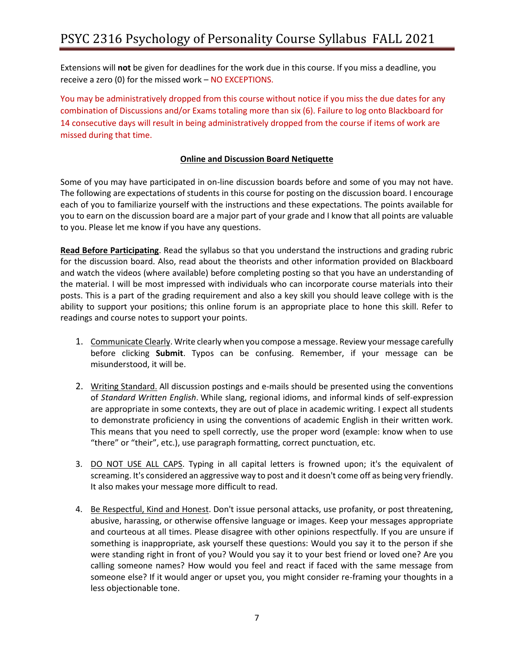Extensions will **not** be given for deadlines for the work due in this course. If you miss a deadline, you receive a zero (0) for the missed work – NO EXCEPTIONS.

You may be administratively dropped from this course without notice if you miss the due dates for any combination of Discussions and/or Exams totaling more than six (6). Failure to log onto Blackboard for 14 consecutive days will result in being administratively dropped from the course if items of work are missed during that time.

# **Online and Discussion Board Netiquette**

Some of you may have participated in on-line discussion boards before and some of you may not have. The following are expectations of students in this course for posting on the discussion board. I encourage each of you to familiarize yourself with the instructions and these expectations. The points available for you to earn on the discussion board are a major part of your grade and I know that all points are valuable to you. Please let me know if you have any questions.

**Read Before Participating**. Read the syllabus so that you understand the instructions and grading rubric for the discussion board. Also, read about the theorists and other information provided on Blackboard and watch the videos (where available) before completing posting so that you have an understanding of the material. I will be most impressed with individuals who can incorporate course materials into their posts. This is a part of the grading requirement and also a key skill you should leave college with is the ability to support your positions; this online forum is an appropriate place to hone this skill. Refer to readings and course notes to support your points.

- 1. Communicate Clearly. Write clearly when you compose a message. Review your message carefully before clicking **Submit**. Typos can be confusing. Remember, if your message can be misunderstood, it will be.
- 2. Writing Standard. All discussion postings and e-mails should be presented using the conventions of *Standard Written English*. While slang, regional idioms, and informal kinds of self-expression are appropriate in some contexts, they are out of place in academic writing. I expect all students to demonstrate proficiency in using the conventions of academic English in their written work. This means that you need to spell correctly, use the proper word (example: know when to use "there" or "their", etc.), use paragraph formatting, correct punctuation, etc.
- 3. DO NOT USE ALL CAPS. Typing in all capital letters is frowned upon; it's the equivalent of screaming. It's considered an aggressive way to post and it doesn't come off as being very friendly. It also makes your message more difficult to read.
- 4. Be Respectful, Kind and Honest. Don't issue personal attacks, use profanity, or post threatening, abusive, harassing, or otherwise offensive language or images. Keep your messages appropriate and courteous at all times. Please disagree with other opinions respectfully. If you are unsure if something is inappropriate, ask yourself these questions: Would you say it to the person if she were standing right in front of you? Would you say it to your best friend or loved one? Are you calling someone names? How would you feel and react if faced with the same message from someone else? If it would anger or upset you, you might consider re-framing your thoughts in a less objectionable tone.